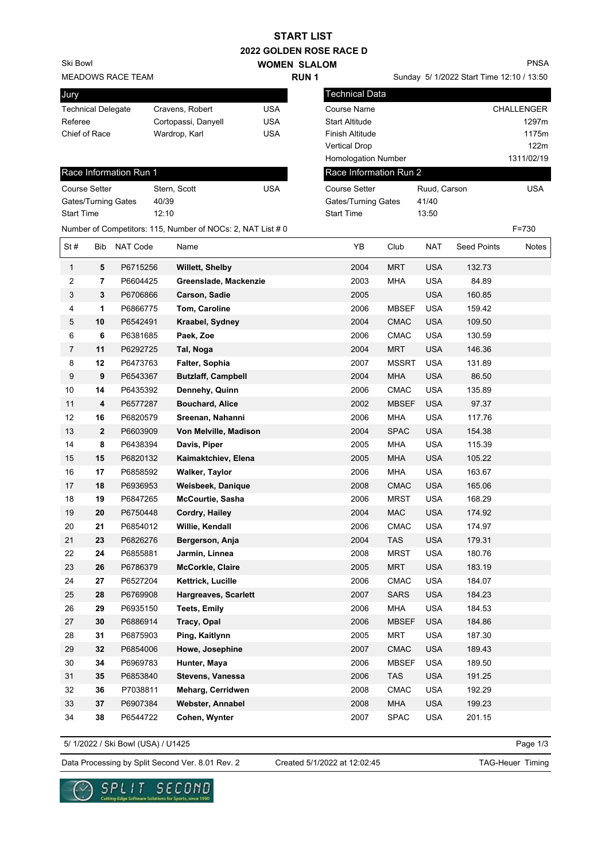| <b>2022 GOLDEN ROSE RACE D</b> |                  |                        |                                                             |             |                     |                                           |              |              |                    |                   |
|--------------------------------|------------------|------------------------|-------------------------------------------------------------|-------------|---------------------|-------------------------------------------|--------------|--------------|--------------------|-------------------|
| Ski Bowl                       |                  |                        |                                                             |             | <b>WOMEN SLALOM</b> |                                           |              |              |                    | <b>PNSA</b>       |
| <b>MEADOWS RACE TEAM</b>       |                  |                        |                                                             | <b>RUN1</b> |                     | Sunday 5/ 1/2022 Start Time 12:10 / 13:50 |              |              |                    |                   |
| Jury                           |                  |                        |                                                             |             |                     | <b>Technical Data</b>                     |              |              |                    |                   |
| <b>Technical Delegate</b>      |                  |                        | Cravens, Robert                                             | <b>USA</b>  |                     | Course Name                               |              |              |                    | <b>CHALLENGER</b> |
| Referee                        |                  |                        | Cortopassi, Danyell                                         | <b>USA</b>  |                     | <b>Start Altitude</b>                     |              |              |                    | 1297m             |
| Chief of Race                  |                  |                        | Wardrop, Karl                                               | <b>USA</b>  |                     | Finish Altitude                           |              |              |                    | 1175m             |
|                                |                  |                        |                                                             |             |                     | <b>Vertical Drop</b>                      |              |              |                    | 122m              |
|                                |                  |                        |                                                             |             |                     | Homologation Number                       |              |              |                    | 1311/02/19        |
|                                |                  | Race Information Run 1 |                                                             |             |                     | Race Information Run 2                    |              |              |                    |                   |
| <b>Course Setter</b>           |                  |                        | Stern, Scott                                                | <b>USA</b>  |                     | <b>Course Setter</b>                      |              | Ruud, Carson |                    | <b>USA</b>        |
| Gates/Turning Gates            |                  |                        | 40/39                                                       |             |                     | Gates/Turning Gates                       |              | 41/40        |                    |                   |
| <b>Start Time</b>              |                  |                        | 12:10                                                       |             |                     | <b>Start Time</b>                         |              | 13:50        |                    |                   |
|                                |                  |                        | Number of Competitors: 115, Number of NOCs: 2, NAT List # 0 |             |                     |                                           |              |              |                    | $F = 730$         |
| St#                            | Bib              | <b>NAT Code</b>        | Name                                                        |             |                     | YB                                        | Club         | <b>NAT</b>   | <b>Seed Points</b> | Notes             |
| 1                              | 5                | P6715256               | <b>Willett, Shelby</b>                                      |             |                     | 2004                                      | <b>MRT</b>   | <b>USA</b>   | 132.73             |                   |
| 2                              | 7                | P6604425               | Greenslade, Mackenzie                                       |             |                     | 2003                                      | <b>MHA</b>   | <b>USA</b>   | 84.89              |                   |
| 3                              | 3                | P6706866               | Carson, Sadie                                               |             |                     | 2005                                      |              | <b>USA</b>   | 160.85             |                   |
| 4                              | 1                | P6866775               | Tom, Caroline                                               |             |                     | 2006                                      | <b>MBSEF</b> | <b>USA</b>   | 159.42             |                   |
| 5                              | 10               | P6542491               | Kraabel, Sydney                                             |             |                     | 2004                                      | <b>CMAC</b>  | <b>USA</b>   | 109.50             |                   |
| 6                              | 6                | P6381685               | Paek, Zoe                                                   |             |                     | 2006                                      | <b>CMAC</b>  | <b>USA</b>   | 130.59             |                   |
| 7                              | 11               | P6292725               | Tal, Noga                                                   |             |                     | 2004                                      | <b>MRT</b>   | <b>USA</b>   | 146.36             |                   |
| 8                              | 12               | P6473763               | Falter, Sophia                                              |             |                     | 2007                                      | <b>MSSRT</b> | <b>USA</b>   | 131.89             |                   |
| 9                              | 9                | P6543367               | <b>Butzlaff, Campbell</b>                                   |             |                     | 2004                                      | <b>MHA</b>   | <b>USA</b>   | 86.50              |                   |
| 10                             | 14               | P6435392               | Dennehy, Quinn                                              |             |                     | 2006                                      | <b>CMAC</b>  | <b>USA</b>   | 135.89             |                   |
| 11                             | $\boldsymbol{4}$ | P6577287               | <b>Bouchard, Alice</b>                                      |             |                     | 2002                                      | <b>MBSEF</b> | <b>USA</b>   | 97.37              |                   |
| 12                             | 16               | P6820579               | Sreenan, Nahanni                                            |             |                     | 2006                                      | MHA          | <b>USA</b>   | 117.76             |                   |
| 13                             | $\mathbf{2}$     | P6603909               | Von Melville, Madison                                       |             |                     | 2004                                      | <b>SPAC</b>  | <b>USA</b>   | 154.38             |                   |
| 14                             | 8                | P6438394               | Davis, Piper                                                |             |                     | 2005                                      | MHA          | <b>USA</b>   | 115.39             |                   |
| 15                             | 15               | P6820132               | Kaimaktchiev, Elena                                         |             |                     | 2005                                      | MHA          | <b>USA</b>   | 105.22             |                   |
| 16                             | 17               | P6858592               | <b>Walker, Taylor</b>                                       |             |                     | 2006                                      | <b>MHA</b>   | <b>USA</b>   | 163.67             |                   |
| 17                             | 18               | P6936953               | Weisbeek, Danique                                           |             |                     | 2008                                      | <b>CMAC</b>  | <b>USA</b>   | 165.06             |                   |
| 18                             | 19               | P6847265               | <b>McCourtie, Sasha</b>                                     |             |                     | 2006                                      | <b>MRST</b>  | <b>USA</b>   | 168.29             |                   |
| 19                             | 20               | P6750448               | Cordry, Hailey                                              |             |                     | 2004                                      | <b>MAC</b>   | <b>USA</b>   | 174.92             |                   |
| 20                             | 21               | P6854012               | Willie, Kendall                                             |             |                     | 2006                                      | CMAC         | <b>USA</b>   | 174.97             |                   |
| 21                             | 23               | P6826276               | Bergerson, Anja                                             |             |                     | 2004                                      | TAS          | <b>USA</b>   | 179.31             |                   |
| 22                             | 24               | P6855881               | Jarmin, Linnea                                              |             |                     | 2008                                      | <b>MRST</b>  | <b>USA</b>   | 180.76             |                   |
| 23                             | 26               | P6786379               | McCorkle, Claire                                            |             |                     | 2005                                      | <b>MRT</b>   | <b>USA</b>   | 183.19             |                   |
| 24                             | 27               | P6527204               | Kettrick, Lucille                                           |             |                     | 2006                                      | <b>CMAC</b>  | <b>USA</b>   | 184.07             |                   |
| 25                             | 28               | P6769908               | Hargreaves, Scarlett                                        |             |                     | 2007                                      | <b>SARS</b>  | <b>USA</b>   | 184.23             |                   |
| 26                             | 29               | P6935150               | <b>Teets, Emily</b>                                         |             |                     | 2006                                      | MHA          | USA          | 184.53             |                   |
| 27                             | 30               | P6886914               | Tracy, Opal                                                 |             |                     | 2006                                      | <b>MBSEF</b> | <b>USA</b>   | 184.86             |                   |
| 28                             | 31               | P6875903               | Ping, Kaitlynn                                              |             |                     | 2005                                      | MRT          | USA          | 187.30             |                   |
| 29                             | 32               | P6854006               | Howe, Josephine                                             |             |                     | 2007                                      | <b>CMAC</b>  | <b>USA</b>   | 189.43             |                   |
| 30                             | 34               | P6969783               | Hunter, Maya                                                |             |                     | 2006                                      | <b>MBSEF</b> | <b>USA</b>   | 189.50             |                   |
| 31                             | 35               | P6853840               | Stevens, Vanessa                                            |             |                     | 2006                                      | <b>TAS</b>   | <b>USA</b>   | 191.25             |                   |
| 32                             | 36               | P7038811               | Meharg, Cerridwen                                           |             |                     | 2008                                      | CMAC         | <b>USA</b>   | 192.29             |                   |
| 33                             | 37               | P6907384               | Webster, Annabel                                            |             |                     | 2008                                      | MHA          | <b>USA</b>   | 199.23             |                   |
| 34                             | 38               | P6544722               | Cohen, Wynter                                               |             |                     | 2007                                      | <b>SPAC</b>  | USA          | 201.15             |                   |

**START LIST**

5/ 1/2022 / Ski Bowl (USA) / U1425

Page 1/3

Data Processing by Split Second Ver. 8.01 Rev. 2 Created 5/1/2022 at 12:02:45 TAG-Heuer Timing

Created 5/1/2022 at 12:02:45



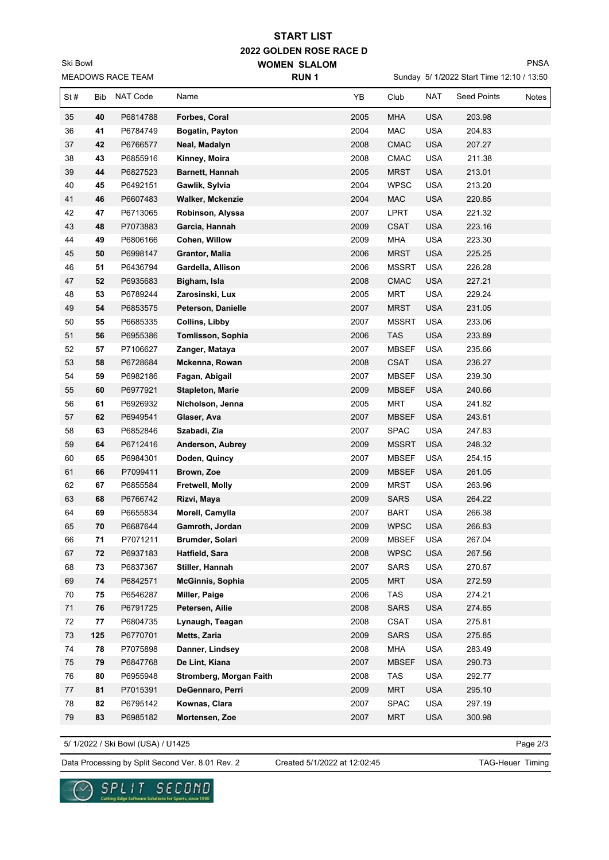**2022 GOLDEN ROSE RACE D WOMEN SLALOM START LIST**

MEADOWS RACE TEAM Ski Bowl

Sunday 5/ 1/2022 Start Time 12:10 / 13:50

PNSA

| MEADOWS RACE TEAM |            |                      | RUN <sub>1</sub>        |  | Sunday 5/ 1/2022 Start Time 12:10 / 13:50 |                              |                          |                    |       |
|-------------------|------------|----------------------|-------------------------|--|-------------------------------------------|------------------------------|--------------------------|--------------------|-------|
| St#               | <b>Bib</b> | NAT Code             | Name                    |  | YB                                        | Club                         | <b>NAT</b>               | <b>Seed Points</b> | Notes |
| 35                | 40         | P6814788             | Forbes, Coral           |  | 2005                                      | <b>MHA</b>                   | <b>USA</b>               | 203.98             |       |
| 36                | 41         | P6784749             | Bogatin, Payton         |  | 2004                                      | MAC                          | <b>USA</b>               | 204.83             |       |
| 37                | 42         | P6766577             | Neal, Madalyn           |  | 2008                                      | <b>CMAC</b>                  | <b>USA</b>               | 207.27             |       |
| 38                | 43         | P6855916             | Kinney, Moira           |  | 2008                                      | CMAC                         | <b>USA</b>               | 211.38             |       |
| 39                | 44         | P6827523             | Barnett, Hannah         |  | 2005                                      | <b>MRST</b>                  | <b>USA</b>               | 213.01             |       |
| 40                | 45         | P6492151             | Gawlik, Sylvia          |  | 2004                                      | <b>WPSC</b>                  | <b>USA</b>               | 213.20             |       |
| 41                | 46         | P6607483             | <b>Walker, Mckenzie</b> |  | 2004                                      | <b>MAC</b>                   | <b>USA</b>               | 220.85             |       |
| 42                | 47         | P6713065             | Robinson, Alyssa        |  | 2007                                      | <b>LPRT</b>                  | <b>USA</b>               | 221.32             |       |
| 43                | 48         | P7073883             | Garcia, Hannah          |  | 2009                                      | <b>CSAT</b>                  | <b>USA</b>               | 223.16             |       |
| 44                | 49         | P6806166             | Cohen, Willow           |  | 2009                                      | <b>MHA</b>                   | <b>USA</b>               | 223.30             |       |
| 45                | 50         | P6998147             | Grantor, Malia          |  | 2006                                      | <b>MRST</b>                  | <b>USA</b>               | 225.25             |       |
| 46                | 51         | P6436794             | Gardella, Allison       |  | 2006                                      | <b>MSSRT</b>                 | <b>USA</b>               | 226.28             |       |
| 47                | 52         | P6935683             | Bigham, Isla            |  | 2008                                      | <b>CMAC</b>                  | <b>USA</b>               | 227.21             |       |
| 48                | 53         | P6789244             | Zarosinski, Lux         |  | 2005                                      | <b>MRT</b>                   | <b>USA</b>               | 229.24             |       |
| 49                | 54         | P6853575             | Peterson, Danielle      |  | 2007                                      | <b>MRST</b>                  | <b>USA</b>               | 231.05             |       |
| 50                | 55         | P6685335             | <b>Collins, Libby</b>   |  | 2007                                      | <b>MSSRT</b>                 | <b>USA</b>               | 233.06             |       |
| 51                | 56         | P6955386             | Tomlisson, Sophia       |  | 2006                                      | <b>TAS</b>                   | <b>USA</b>               | 233.89             |       |
| 52                | 57         | P7106627             | Zanger, Mataya          |  | 2007                                      | <b>MBSEF</b>                 | <b>USA</b>               | 235.66             |       |
| 53                | 58         | P6728684             | Mckenna, Rowan          |  | 2008                                      | <b>CSAT</b>                  | <b>USA</b>               | 236.27             |       |
| 54                | 59         | P6982186             | Fagan, Abigail          |  | 2007                                      | <b>MBSEF</b>                 | <b>USA</b>               | 239.30             |       |
| 55                | 60         | P6977921             | <b>Stapleton, Marie</b> |  | 2009                                      | <b>MBSEF</b>                 | <b>USA</b>               | 240.66             |       |
| 56                | 61         | P6926932             | Nicholson, Jenna        |  | 2005                                      | <b>MRT</b>                   | <b>USA</b>               | 241.82             |       |
| 57                | 62         | P6949541             | Glaser, Ava             |  | 2007                                      | <b>MBSEF</b>                 | <b>USA</b>               | 243.61             |       |
| 58                | 63         | P6852846             | Szabadi, Zia            |  | 2007                                      | SPAC                         | <b>USA</b>               | 247.83             |       |
|                   |            |                      |                         |  |                                           |                              |                          |                    |       |
| 59<br>60          | 64<br>65   | P6712416<br>P6984301 | Anderson, Aubrey        |  | 2009<br>2007                              | <b>MSSRT</b><br><b>MBSEF</b> | <b>USA</b><br><b>USA</b> | 248.32<br>254.15   |       |
|                   |            |                      | Doden, Quincy           |  |                                           |                              |                          |                    |       |
| 61                | 66         | P7099411             | Brown, Zoe              |  | 2009                                      | <b>MBSEF</b>                 | <b>USA</b>               | 261.05             |       |
| 62                | 67         | P6855584             | Fretwell, Molly         |  | 2009                                      | <b>MRST</b>                  | <b>USA</b>               | 263.96             |       |
| 63                | 68         | P6766742             | Rizvi, Maya             |  | 2009                                      | <b>SARS</b>                  | <b>USA</b>               | 264.22             |       |
| 64                | 69         | P6655834             | Morell, Camylla         |  | 2007                                      | <b>BART</b>                  | <b>USA</b>               | 266.38             |       |
| 65                | 70         | P6687644             | Gamroth, Jordan         |  | 2009                                      | <b>WPSC</b>                  | <b>USA</b>               | 266.83             |       |
| 66                | 71         | P7071211             | Brumder, Solari         |  | 2009                                      | <b>MBSEF</b>                 | <b>USA</b>               | 267.04             |       |
| 67                | 72         | P6937183             | Hatfield, Sara          |  | 2008                                      | <b>WPSC</b>                  | <b>USA</b>               | 267.56             |       |
| 68                | 73         | P6837367             | Stiller, Hannah         |  | 2007                                      | SARS                         | <b>USA</b>               | 270.87             |       |
| 69                | 74         | P6842571             | <b>McGinnis, Sophia</b> |  | 2005                                      | <b>MRT</b>                   | <b>USA</b>               | 272.59             |       |
| 70                | 75         | P6546287             | Miller, Paige           |  | 2006                                      | TAS                          | <b>USA</b>               | 274.21             |       |
| 71                | ${\bf 76}$ | P6791725             | Petersen, Ailie         |  | 2008                                      | <b>SARS</b>                  | <b>USA</b>               | 274.65             |       |
| 72                | 77         | P6804735             | Lynaugh, Teagan         |  | 2008                                      | CSAT                         | <b>USA</b>               | 275.81             |       |
| 73                | 125        | P6770701             | Metts, Zaria            |  | 2009                                      | <b>SARS</b>                  | <b>USA</b>               | 275.85             |       |
| 74                | 78         | P7075898             | Danner, Lindsey         |  | 2008                                      | MHA                          | <b>USA</b>               | 283.49             |       |
| 75                | 79         | P6847768             | De Lint, Kiana          |  | 2007                                      | <b>MBSEF</b>                 | <b>USA</b>               | 290.73             |       |
| 76                | 80         | P6955948             | Stromberg, Morgan Faith |  | 2008                                      | TAS                          | <b>USA</b>               | 292.77             |       |
| 77                | 81         | P7015391             | DeGennaro, Perri        |  | 2009                                      | <b>MRT</b>                   | <b>USA</b>               | 295.10             |       |
| 78                | 82         | P6795142             | Kownas, Clara           |  | 2007                                      | SPAC                         | <b>USA</b>               | 297.19             |       |
| ${\bf 79}$        | 83         | P6985182             | Mortensen, Zoe          |  | 2007                                      | <b>MRT</b>                   | <b>USA</b>               | 300.98             |       |

5/ 1/2022 / Ski Bowl (USA) / U1425

Page 2/3

Data Processing by Split Second Ver. 8.01 Rev. 2 Created 5/1/2022 at 12:02:45 TAG-Heuer Timing

Created 5/1/2022 at 12:02:45